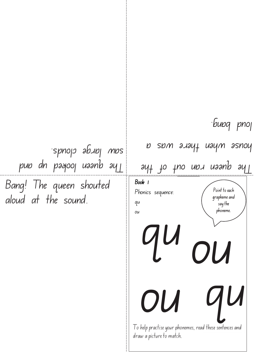Bang! The queen shouted aloud at the sound. I o help practise your phonemes, read these sentences and draw a picture to match. Point to each grapheme and  $\frac{1}{3}$  say the phoneme. Book 1 Phonics sequence: qu ou  $\boldsymbol{U}$ ay+ to tuo non naanb ay ponse myeu yaya a was a loud bang. pun dn pagooj uaanb ay saw large clouds. ou qu ou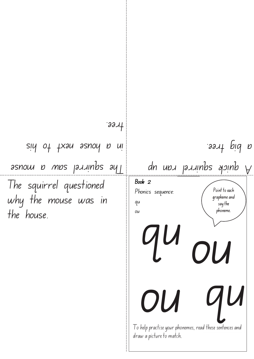| $331 +$                                                                                                                                                                                                                                                                                                                                                                    |                                                                                                                        |
|----------------------------------------------------------------------------------------------------------------------------------------------------------------------------------------------------------------------------------------------------------------------------------------------------------------------------------------------------------------------------|------------------------------------------------------------------------------------------------------------------------|
| siy of txau asnoy p ui                                                                                                                                                                                                                                                                                                                                                     | a bid tree.                                                                                                            |
| $3510$ <i>u b</i> $\overline{M}$ $\overline{D}$ $\overline{D}$ $\overline{D}$ $\overline{D}$ $\overline{D}$ $\overline{D}$ $\overline{D}$ $\overline{D}$ $\overline{D}$ $\overline{D}$ $\overline{D}$ $\overline{D}$ $\overline{D}$ $\overline{D}$ $\overline{D}$ $\overline{D}$ $\overline{D}$ $\overline{D}$ $\overline{D}$ $\overline{D}$ $\overline{D}$ $\overline{D}$ | $d$ n upu puning ang dipangkalang dipanakanan dipanakan dipanakan dipanakan dipanakan dipanakan dipanakan dipanakan di |
| The squirrel questioned<br>why the mouse was in<br>the house.                                                                                                                                                                                                                                                                                                              | Book 2<br>Point to each<br>Phonics sequence:<br>grapheme and<br>qu<br>say the<br>phoneme.<br>ou<br>qu<br>OU            |
|                                                                                                                                                                                                                                                                                                                                                                            | To help practise your phonemes, read these sentences and<br>draw a picture to match.                                   |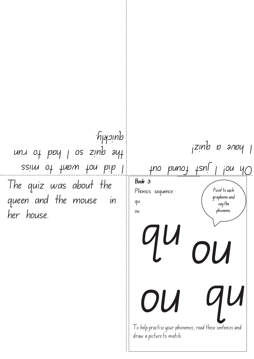The quiz was about the queen and the mouse in her house. ssim of twow ton bib I  $unx$  of poy  $1$  os zinb  $ayf$ quickly.

I o help practise your phonemes, read these sentences and draw a picture to match. Point to each grapheme and  $\frac{1}{3}$  say the phoneme. Book 3 Phonics sequence: qu ou  $\boldsymbol{U}$  $10$  puno $1$   $15n$   $10u$   $40$  $i$ zin $b$  b anpy ou qu ou